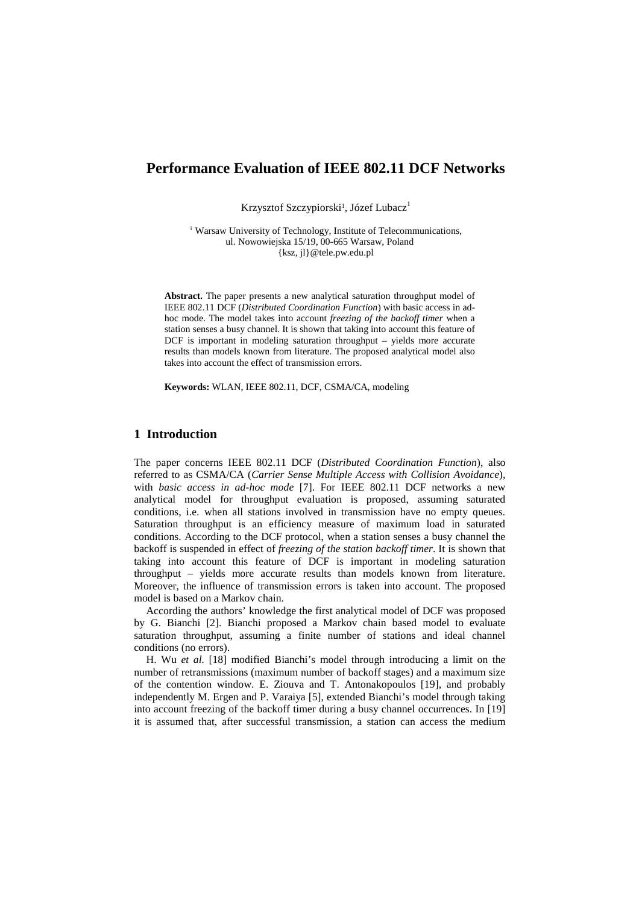# **Performance Evaluation of IEEE 802.11 DCF Networks**

Krzysztof Szczypiorski<sup>1</sup>, Józef Lubacz<sup>1</sup>

<sup>1</sup> Warsaw University of Technology, Institute of Telecommunications, ul. Nowowiejska 15/19, 00-665 Warsaw, Poland {ksz, jl}@tele.pw.edu.pl

**Abstract.** The paper presents a new analytical saturation throughput model of IEEE 802.11 DCF (*Distributed Coordination Function*) with basic access in adhoc mode. The model takes into account *freezing of the backoff timer* when a station senses a busy channel. It is shown that taking into account this feature of DCF is important in modeling saturation throughput – yields more accurate results than models known from literature. The proposed analytical model also takes into account the effect of transmission errors.

**Keywords:** WLAN, IEEE 802.11, DCF, CSMA/CA, modeling

# **1 Introduction**

The paper concerns IEEE 802.11 DCF (*Distributed Coordination Function*), also referred to as CSMA/CA (*Carrier Sense Multiple Access with Collision Avoidance*), with *basic access in ad-hoc mode* [7]. For IEEE 802.11 DCF networks a new analytical model for throughput evaluation is proposed, assuming saturated conditions, i.e. when all stations involved in transmission have no empty queues. Saturation throughput is an efficiency measure of maximum load in saturated conditions. According to the DCF protocol, when a station senses a busy channel the backoff is suspended in effect of *freezing of the station backoff timer*. It is shown that taking into account this feature of DCF is important in modeling saturation throughput – yields more accurate results than models known from literature. Moreover, the influence of transmission errors is taken into account. The proposed model is based on a Markov chain.

According the authors' knowledge the first analytical model of DCF was proposed by G. Bianchi [2]. Bianchi proposed a Markov chain based model to evaluate saturation throughput, assuming a finite number of stations and ideal channel conditions (no errors).

H. Wu *et al.* [18] modified Bianchi's model through introducing a limit on the number of retransmissions (maximum number of backoff stages) and a maximum size of the contention window. E. Ziouva and T. Antonakopoulos [19], and probably independently M. Ergen and P. Varaiya [5], extended Bianchi's model through taking into account freezing of the backoff timer during a busy channel occurrences. In [19] it is assumed that, after successful transmission, a station can access the medium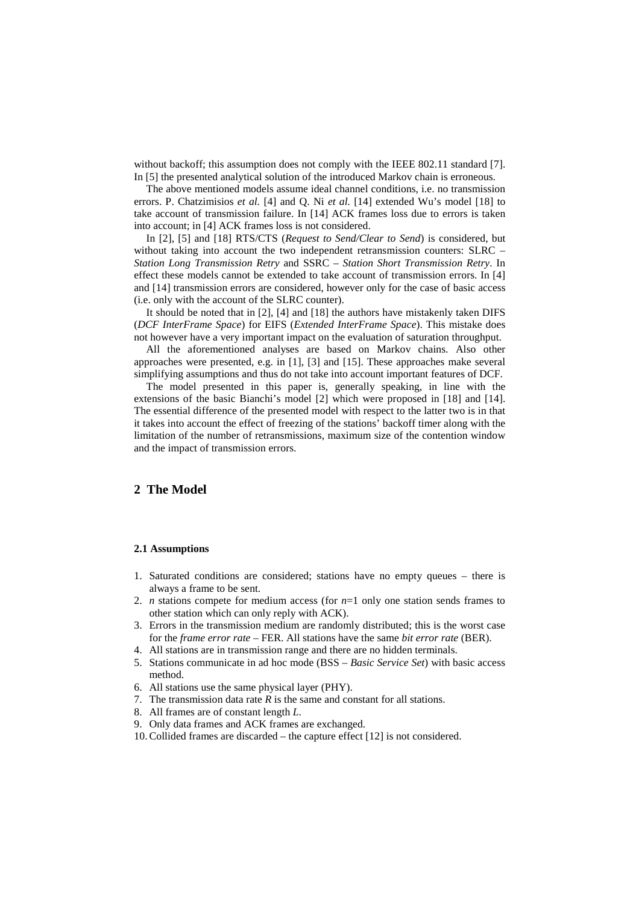without backoff; this assumption does not comply with the IEEE 802.11 standard [7]. In [5] the presented analytical solution of the introduced Markov chain is erroneous.

The above mentioned models assume ideal channel conditions, i.e. no transmission errors. P. Chatzimisios *et al.* [4] and Q. Ni *et al.* [14] extended Wu's model [18] to take account of transmission failure. In [14] ACK frames loss due to errors is taken into account; in [4] ACK frames loss is not considered.

In [2], [5] and [18] RTS/CTS (*Request to Send/Clear to Send*) is considered, but without taking into account the two independent retransmission counters: SLRC – *Station Long Transmission Retry* and SSRC – *Station Short Transmission Retry*. In effect these models cannot be extended to take account of transmission errors. In [4] and [14] transmission errors are considered, however only for the case of basic access (i.e. only with the account of the SLRC counter).

It should be noted that in [2], [4] and [18] the authors have mistakenly taken DIFS (*DCF InterFrame Space*) for EIFS (*Extended InterFrame Space*). This mistake does not however have a very important impact on the evaluation of saturation throughput.

All the aforementioned analyses are based on Markov chains. Also other approaches were presented, e.g. in [1], [3] and [15]. These approaches make several simplifying assumptions and thus do not take into account important features of DCF.

The model presented in this paper is, generally speaking, in line with the extensions of the basic Bianchi's model [2] which were proposed in [18] and [14]. The essential difference of the presented model with respect to the latter two is in that it takes into account the effect of freezing of the stations' backoff timer along with the limitation of the number of retransmissions, maximum size of the contention window and the impact of transmission errors.

# **2 The Model**

#### **2.1 Assumptions**

- 1. Saturated conditions are considered; stations have no empty queues there is always a frame to be sent.
- 2. *n* stations compete for medium access (for  $n=1$  only one station sends frames to other station which can only reply with ACK).
- 3. Errors in the transmission medium are randomly distributed; this is the worst case for the *frame error rate –* FER. All stations have the same *bit error rate* (BER).
- 4. All stations are in transmission range and there are no hidden terminals.
- 5. Stations communicate in ad hoc mode (BSS *Basic Service Set*) with basic access method.
- 6. All stations use the same physical layer (PHY).
- 7. The transmission data rate *R* is the same and constant for all stations.
- 8. All frames are of constant length *L*.
- 9. Only data frames and ACK frames are exchanged.
- 10.Collided frames are discarded the capture effect [12] is not considered.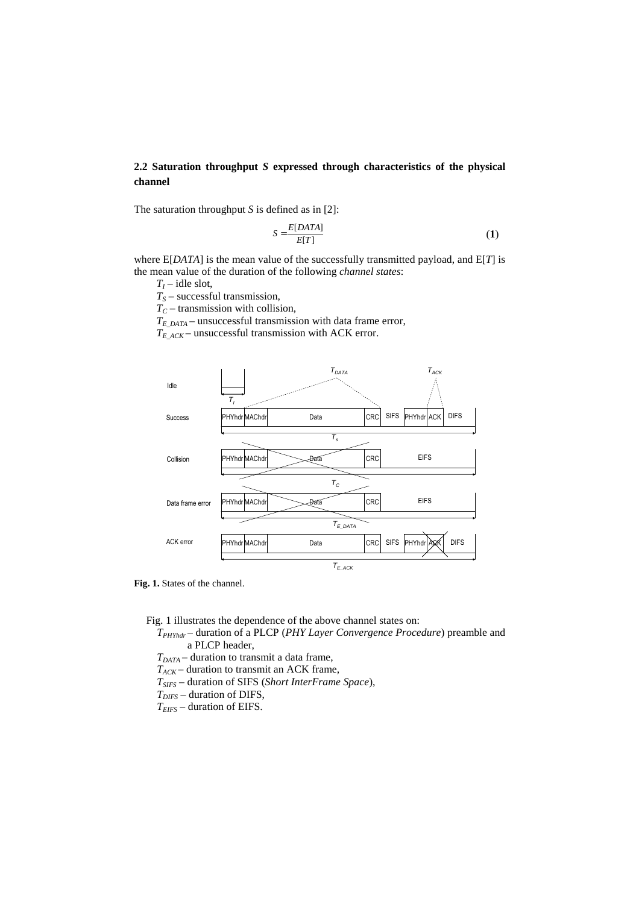# **2.2 Saturation throughput** *S* **expressed through characteristics of the physical channel**

The saturation throughput *S* is defined as in [2]:

$$
S = \frac{E[DATA]}{E[T]} \tag{1}
$$

where E[*DATA*] is the mean value of the successfully transmitted payload, and E[*T*] is the mean value of the duration of the following *channel states*:

 $T_I$  – idle slot,

*TS* – successful transmission,

 $T_C$  – transmission with collision,

*TE\_DATA* – unsuccessful transmission with data frame error,

 $T_{E\,$ *ACK* – unsuccessful transmission with ACK error.



**Fig. 1.** States of the channel.

Fig. 1 illustrates the dependence of the above channel states on:

*TPHYhdr* – duration of a PLCP (*PHY Layer Convergence Procedure*) preamble and a PLCP header,

*TDATA* – duration to transmit a data frame,

- $T_{ACK}$  duration to transmit an ACK frame,
- *TSIFS* duration of SIFS (*Short InterFrame Space*),

*TDIFS* – duration of DIFS,

*TEIFS* – duration of EIFS.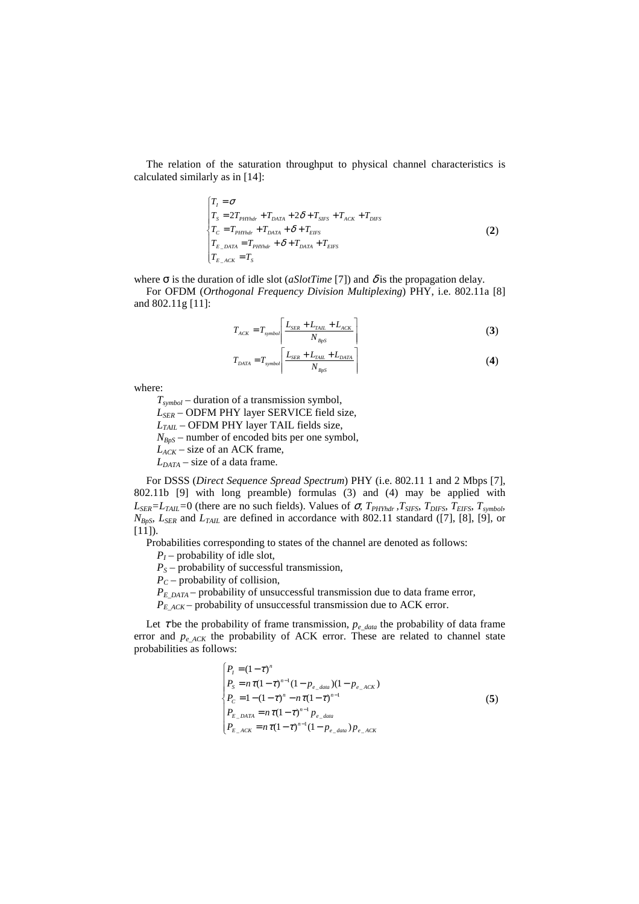The relation of the saturation throughput to physical channel characteristics is calculated similarly as in [14]:

$$
\begin{cases}\nT_I = \sigma \\
T_S = 2T_{PHYhdr} + T_{DATA} + 2\delta + T_{SIFS} + T_{ACK} + T_{DIFS} \\
T_C = T_{PHYhdr} + T_{DATA} + \delta + T_{EIFS} \\
T_{E\_DATA} = T_{PHYhdr} + \delta + T_{DATA} + T_{EIFS} \\
T_{E\_ACK} = T_S\n\end{cases}
$$
\n(2)

where  $\sigma$  is the duration of idle slot (*aSlotTime* [7]) and  $\delta$  is the propagation delay.

For OFDM (*Orthogonal Frequency Division Multiplexing*) PHY, i.e. 802.11a [8] and 802.11g [11]:

$$
T_{ACK} = T_{symbol} \left[ \frac{L_{SER} + L_{TAIL} + L_{ACK}}{N_{BPS}} \right]
$$
 (3)

$$
T_{DATA} = T_{symbol} \left[ \frac{L_{SER} + L_{TAL} + L_{DATA}}{N_{B\rho S}} \right]
$$
\n
$$
(4)
$$

where:

*Tsymbol* – duration of a transmission symbol,

*LSER* – ODFM PHY layer SERVICE field size,

*LTAIL* – OFDM PHY layer TAIL fields size,

*NBpS* – number of encoded bits per one symbol,

*LACK* – size of an ACK frame,

*LDATA* – size of a data frame.

For DSSS (*Direct Sequence Spread Spectrum*) PHY (i.e. 802.11 1 and 2 Mbps [7], 802.11b [9] with long preamble) formulas (3) and (4) may be applied with  $L_{SER} = L_{TAIL} = 0$  (there are no such fields). Values of  $\sigma$ ,  $T_{PHYhdr}$ ,  $T_{SIFS}$ ,  $T_{EIFS}$ ,  $T_{synbob}$  $N_{BpS}$ ,  $L_{SER}$  and  $L_{TAIL}$  are defined in accordance with 802.11 standard ([7], [8], [9], or  $[11]$ ).

Probabilities corresponding to states of the channel are denoted as follows:

*PI* – probability of idle slot,

 $P<sub>S</sub>$  – probability of successful transmission,

*PC* – probability of collision,

 $P_{E<sub>DATA</sub>}$  – probability of unsuccessful transmission due to data frame error,

 $P_{E|ACK}$  – probability of unsuccessful transmission due to ACK error.

Let  $\tau$  be the probability of frame transmission,  $p_{e\_data}$  the probability of data frame error and  $p_{e,ACK}$  the probability of ACK error. These are related to channel state probabilities as follows:

$$
\begin{cases}\nP_{I} = (1 - \tau)^{n} \\
P_{S} = n\tau(1 - \tau)^{n-1}(1 - p_{e\_data})(1 - p_{e\_ACK}) \\
P_{C} = 1 - (1 - \tau)^{n} - n\tau(1 - \tau)^{n-1} \\
P_{E\_DATA} = n\tau(1 - \tau)^{n-1} p_{e\_data} \\
P_{E\_ACK} = n\tau(1 - \tau)^{n-1}(1 - p_{e\_data}) p_{e\_ACK}\n\end{cases} (5)
$$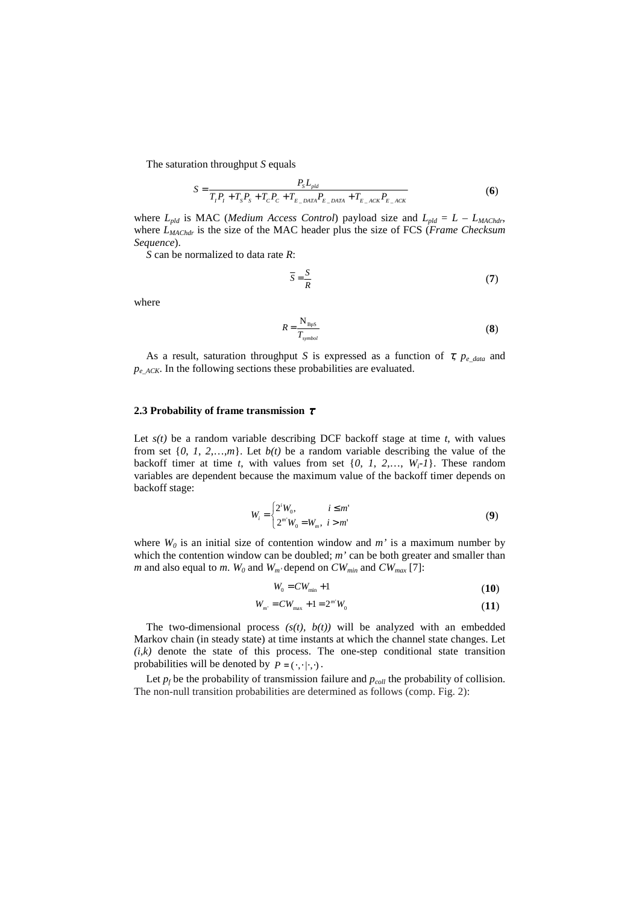The saturation throughput *S* equals

$$
S = \frac{P_S L_{pld}}{T_I P_I + T_S P_S + T_C P_C + T_{E_D A T A} P_{E_D A T A} + T_{E_A C K} P_{E_A C K}}
$$
(6)

where  $L_{pld}$  is MAC (*Medium Access Control*) payload size and  $L_{pld} = L - L_{MACHdr}$ , where  $L_{MACHdr}$  is the size of the MAC header plus the size of FCS (*Frame Checksum Sequence*).

*S* can be normalized to data rate *R*:

$$
\overline{S} = \frac{S}{R} \tag{7}
$$

where

$$
R = \frac{N_{\rm BpS}}{T_{\rm symbol}}
$$
 (8)

As a result, saturation throughput *S* is expressed as a function of τ*, pe\_data* and *pe\_ACK*. In the following sections these probabilities are evaluated.

#### **2.3 Probability of frame transmission** <sup>τ</sup>

Let  $s(t)$  be a random variable describing DCF backoff stage at time  $t$ , with values from set  $\{0, 1, 2, \ldots, m\}$ . Let  $b(t)$  be a random variable describing the value of the backoff timer at time *t*, with values from set  $\{0, 1, 2, \ldots, W_i - 1\}$ . These random variables are dependent because the maximum value of the backoff timer depends on backoff stage:

$$
W_i = \begin{cases} 2^i W_0, & i \le m' \\ 2^{m'} W_0 = W_m, & i > m' \end{cases}
$$
 (9)

where  $W_0$  is an initial size of contention window and  $m'$  is a maximum number by which the contention window can be doubled; *m'* can be both greater and smaller than *m* and also equal to *m*. *W*<sub>0</sub> and *W*<sub>*m'*</sub> depend on *CW*<sub>*min*</sub> and *CW*<sub>*max*</sub> [7]:

$$
W_0 = CW_{\min} + 1 \tag{10}
$$

$$
W_{m'} = CW_{\text{max}} + 1 = 2^{m'} W_0 \tag{11}
$$

The two-dimensional process  $(s(t), b(t))$  will be analyzed with an embedded Markov chain (in steady state) at time instants at which the channel state changes. Let  $(i,k)$  denote the state of this process. The one-step conditional state transition probabilities will be denoted by  $P = (\cdot, \cdot | \cdot, \cdot).$ 

Let  $p_f$  be the probability of transmission failure and  $p_{coll}$  the probability of collision. The non-null transition probabilities are determined as follows (comp. Fig. 2):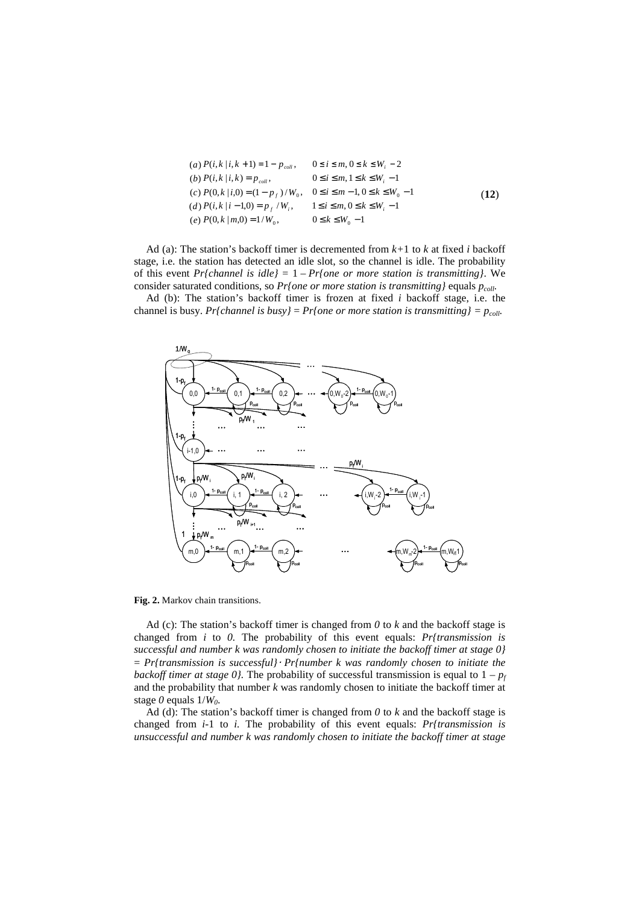(a) 
$$
P(i, k | i, k + 1) = 1 - p_{coll}
$$
,  $0 \le i \le m, 0 \le k \le W_i - 2$   
\n(b)  $P(i, k | i, k) = p_{coll}$ ,  $0 \le i \le m, 1 \le k \le W_i - 1$   
\n(c)  $P(0, k | i, 0) = (1 - p_f) / W_0$ ,  $0 \le i \le m - 1, 0 \le k \le W_0 - 1$   
\n(d)  $P(i, k | i - 1, 0) = p_f / W_i$ ,  $1 \le i \le m, 0 \le k \le W_i - 1$   
\n(e)  $P(0, k | m, 0) = 1 / W_0$ ,  $0 \le k \le W_0 - 1$  (12)

Ad (a): The station's backoff timer is decremented from *k+*1 to *k* at fixed *i* backoff stage, i.e. the station has detected an idle slot, so the channel is idle. The probability of this event *Pr{channel is idle}* = 1 – *Pr{one or more station is transmitting}*. We consider saturated conditions, so *Pr{one or more station is transmitting}* equals *pcoll.* 

Ad (b): The station's backoff timer is frozen at fixed *i* backoff stage, i.e. the channel is busy. *Pr{channel is busy}* = *Pr{one or more station is transmitting}* =  $p_{coll}$ .



**Fig. 2.** Markov chain transitions.

Ad (c): The station's backoff timer is changed from *0* to *k* and the backoff stage is changed from *i* to *0.* The probability of this event equals: *Pr{transmission is successful and number k was randomly chosen to initiate the backoff timer at stage 0}*  = *Pr{transmission is successful}*⋅ *Pr{number k was randomly chosen to initiate the backoff timer at stage 0}*. The probability of successful transmission is equal to  $1 - p_f$ and the probability that number *k* was randomly chosen to initiate the backoff timer at stage *0* equals 1/*W0*.

Ad (d): The station's backoff timer is changed from *0* to *k* and the backoff stage is changed from *i-*1 to *i.* The probability of this event equals: *Pr{transmission is unsuccessful and number k was randomly chosen to initiate the backoff timer at stage*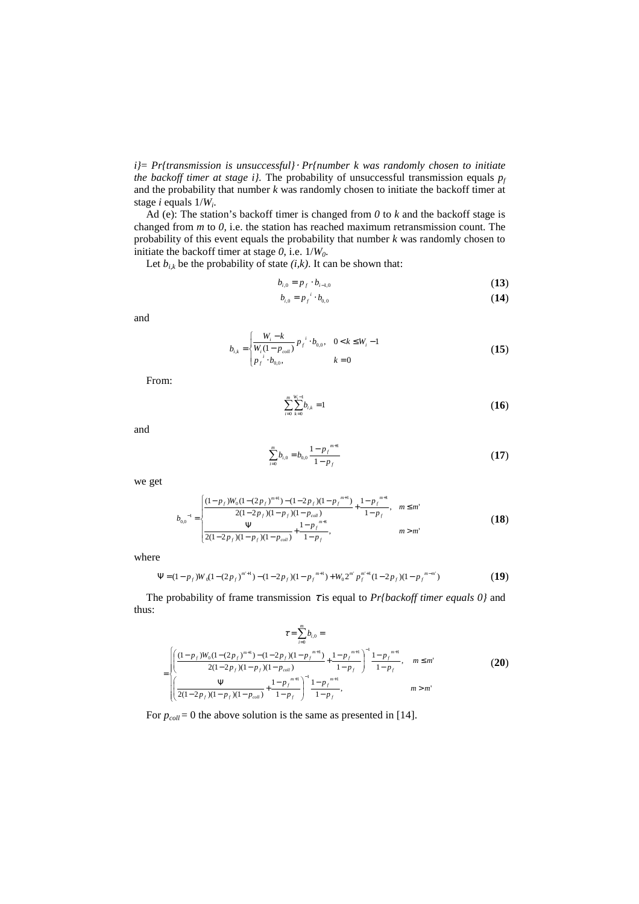*i}*= *Pr{transmission is unsuccessful}*⋅ *Pr{number k was randomly chosen to initiate the backoff timer at stage i].* The probability of unsuccessful transmission equals  $p_f$ and the probability that number *k* was randomly chosen to initiate the backoff timer at stage *i* equals 1/*W<sup>i</sup>* .

Ad (e): The station's backoff timer is changed from *0* to *k* and the backoff stage is changed from *m* to *0,* i.e. the station has reached maximum retransmission count. The probability of this event equals the probability that number *k* was randomly chosen to initiate the backoff timer at stage *0*, i.e. 1/*W0*.

Let  $b_{i,k}$  be the probability of state  $(i,k)$ . It can be shown that:

$$
b_{i,0} = p_f \cdot b_{i-1,0} \tag{13}
$$

$$
b_{i,0} = p_f^i \cdot b_{0,0} \tag{14}
$$

and

$$
b_{i,k} = \begin{cases} \frac{W_i - k}{W_i (1 - p_{coll})} p_f^{i} \cdot b_{0,0}, & 0 < k \le W_i - 1\\ p_f^{i} \cdot b_{0,0}, & k = 0 \end{cases}
$$
 (15)

From:

$$
\sum_{i=0}^{m} \sum_{k=0}^{W_i-1} b_{i,k} = 1
$$
\n(16)

and

$$
\sum_{i=0}^{m} b_{i,0} = b_{0,0} \frac{1 - p_f^{m+1}}{1 - p_f}
$$
 (17)

we get

$$
b_{0.0}^{-1} = \begin{cases} \frac{(1 - p_f)W_0(1 - (2p_f)^{m+1}) - (1 - 2p_f)(1 - p_f^{m+1})}{2(1 - 2p_f)(1 - p_f)(1 - p_{coll})} + \frac{1 - p_f^{m+1}}{1 - p_f}, & m \le m'\\ \frac{\Psi}{2(1 - 2p_f)(1 - p_f)(1 - p_{coll})} + \frac{1 - p_f^{m+1}}{1 - p_f}, & m > m' \end{cases}
$$
(18)

where

$$
\Psi = (1 - p_f)W_0(1 - (2p_f)^{m+1}) - (1 - 2p_f)(1 - p_f^{m+1}) + W_0 2^{m'} p_f^{m+1} (1 - 2p_f)(1 - p_f^{m-m'})
$$
\n(19)

The probability of frame transmission <sup>τ</sup> is equal to *Pr{backoff timer equals 0}* and thus:

*m*

$$
\tau = \sum_{i=0}^{\infty} b_{i,0} =
$$
\n
$$
= \begin{cases}\n\left(\frac{(1 - p_f)W_0(1 - (2p_f)^{m+1}) - (1 - 2p_f)(1 - p_f^{m+1})}{2(1 - 2p_f)(1 - p_f)(1 - p_{coH})} + \frac{1 - p_f^{m+1}}{1 - p_f}\right)^{-1} \frac{1 - p_f^{m+1}}{1 - p_f}, & m \leq m' \\
\left(\frac{\Psi}{2(1 - 2p_f)(1 - p_f)(1 - p_{coH})} + \frac{1 - p_f^{m+1}}{1 - p_f}\right)^{-1} \frac{1 - p_f^{m+1}}{1 - p_f}, & m > m'\n\end{cases}
$$
\n(20)

For  $p_{coll} = 0$  the above solution is the same as presented in [14].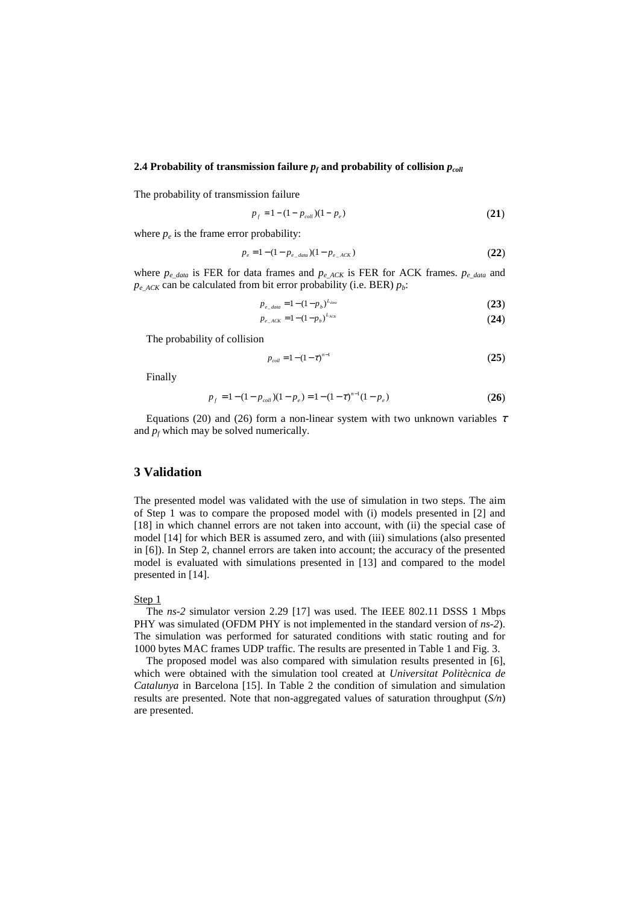## **2.4 Probability of transmission failure**  $p_f$  **and probability of collision**  $p_{coll}$

The probability of transmission failure

$$
p_f = 1 - (1 - p_{coll})(1 - p_e)
$$
 (21)

where  $p_e$  is the frame error probability:

$$
p_e = 1 - (1 - p_{e\_data})(1 - p_{e\_ACK})
$$
\n(22)

where *pe\_data* is FER for data frames and *pe\_ACK* is FER for ACK frames. *pe\_data* and  $p_e$ <sub>*ACK*</sub> can be calculated from bit error probability (i.e. BER)  $p_b$ :

$$
p_{e_{-data}} = 1 - (1 - p_b)^{L_{data}} \tag{23}
$$

$$
p_{e_{-}ACK} = 1 - (1 - p_b)^{L_{ACK}} \tag{24}
$$

The probability of collision

$$
p_{coll} = 1 - (1 - \tau)^{n-1}
$$
 (25)

Finally

$$
p_f = 1 - (1 - p_{coll})(1 - p_e) = 1 - (1 - \tau)^{n-1}(1 - p_e)
$$
\n(26)

Equations (20) and (26) form a non-linear system with two unknown variables  $\tau$ and  $p_f$  which may be solved numerically.

### **3 Validation**

The presented model was validated with the use of simulation in two steps. The aim of Step 1 was to compare the proposed model with (i) models presented in [2] and [18] in which channel errors are not taken into account, with (ii) the special case of model [14] for which BER is assumed zero, and with (iii) simulations (also presented in [6]). In Step 2, channel errors are taken into account; the accuracy of the presented model is evaluated with simulations presented in [13] and compared to the model presented in [14].

#### Step 1

The *ns-2* simulator version 2.29 [17] was used. The IEEE 802.11 DSSS 1 Mbps PHY was simulated (OFDM PHY is not implemented in the standard version of *ns-2*). The simulation was performed for saturated conditions with static routing and for 1000 bytes MAC frames UDP traffic. The results are presented in Table 1 and Fig. 3.

The proposed model was also compared with simulation results presented in [6], which were obtained with the simulation tool created at *Universitat Politècnica de Catalunya* in Barcelona [15]. In Table 2 the condition of simulation and simulation results are presented. Note that non-aggregated values of saturation throughput (*S/n*) are presented.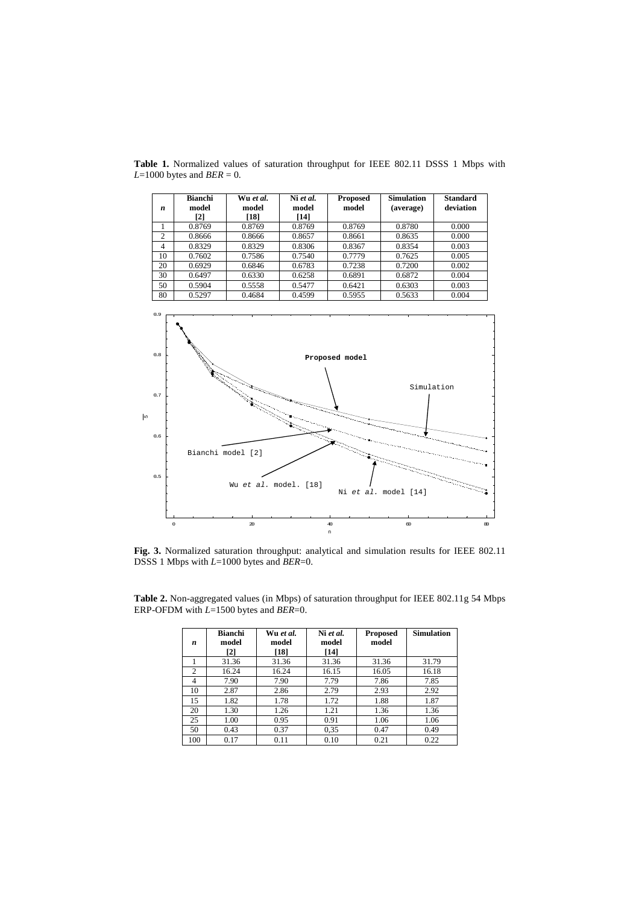Table 1. Normalized values of saturation throughput for IEEE 802.11 DSSS 1 Mbps with  $L=1000$  bytes and  $BER = 0$ .

| $\boldsymbol{n}$ | <b>Bianchi</b><br>model<br>$\lceil 2 \rceil$ | Wu et al.<br>model<br>[18] | Ni et al.<br>model<br>[14] | <b>Proposed</b><br>model | <b>Simulation</b><br>(average) | <b>Standard</b><br>deviation |
|------------------|----------------------------------------------|----------------------------|----------------------------|--------------------------|--------------------------------|------------------------------|
|                  | 0.8769                                       | 0.8769                     | 0.8769                     | 0.8769                   | 0.8780                         | 0.000                        |
| 2                | 0.8666                                       | 0.8666                     | 0.8657                     | 0.8661                   | 0.8635                         | 0.000                        |
| $\overline{4}$   | 0.8329                                       | 0.8329                     | 0.8306                     | 0.8367                   | 0.8354                         | 0.003                        |
| 10               | 0.7602                                       | 0.7586                     | 0.7540                     | 0.7779                   | 0.7625                         | 0.005                        |
| 20               | 0.6929                                       | 0.6846                     | 0.6783                     | 0.7238                   | 0.7200                         | 0.002                        |
| 30               | 0.6497                                       | 0.6330                     | 0.6258                     | 0.6891                   | 0.6872                         | 0.004                        |
| 50               | 0.5904                                       | 0.5558                     | 0.5477                     | 0.6421                   | 0.6303                         | 0.003                        |
| 80               | 0.5297                                       | 0.4684                     | 0.4599                     | 0.5955                   | 0.5633                         | 0.004                        |



**Fig. 3.** Normalized saturation throughput: analytical and simulation results for IEEE 802.11 DSSS 1 Mbps with *L*=1000 bytes and *BER*=0.

| n              | <b>Bianchi</b><br>model<br>$\lceil 2 \rceil$ | Wu et al.<br>model<br>[18] | Ni et al.<br>model<br>[14] | <b>Proposed</b><br>model | <b>Simulation</b> |
|----------------|----------------------------------------------|----------------------------|----------------------------|--------------------------|-------------------|
|                | 31.36                                        | 31.36                      | 31.36                      | 31.36                    | 31.79             |
| $\overline{c}$ | 16.24                                        | 16.24                      | 16.15                      | 16.05                    | 16.18             |
| $\overline{4}$ | 7.90                                         | 7.90                       | 7.79                       | 7.86                     | 7.85              |
| 10             | 2.87                                         | 2.86                       | 2.79                       | 2.93                     | 2.92              |
| 15             | 1.82                                         | 1.78                       | 1.72                       | 1.88                     | 1.87              |
| 20             | 1.30                                         | 1.26                       | 1.21                       | 1.36                     | 1.36              |
| 25             | 1.00                                         | 0.95                       | 0.91                       | 1.06                     | 1.06              |
| 50             | 0.43                                         | 0.37                       | 0.35                       | 0.47                     | 0.49              |
| 100            | 0.17                                         | 0.11                       | 0.10                       | 0.21                     | 0.22              |

**Table 2.** Non-aggregated values (in Mbps) of saturation throughput for IEEE 802.11g 54 Mbps ERP-OFDM with *L*=1500 bytes and *BER*=0.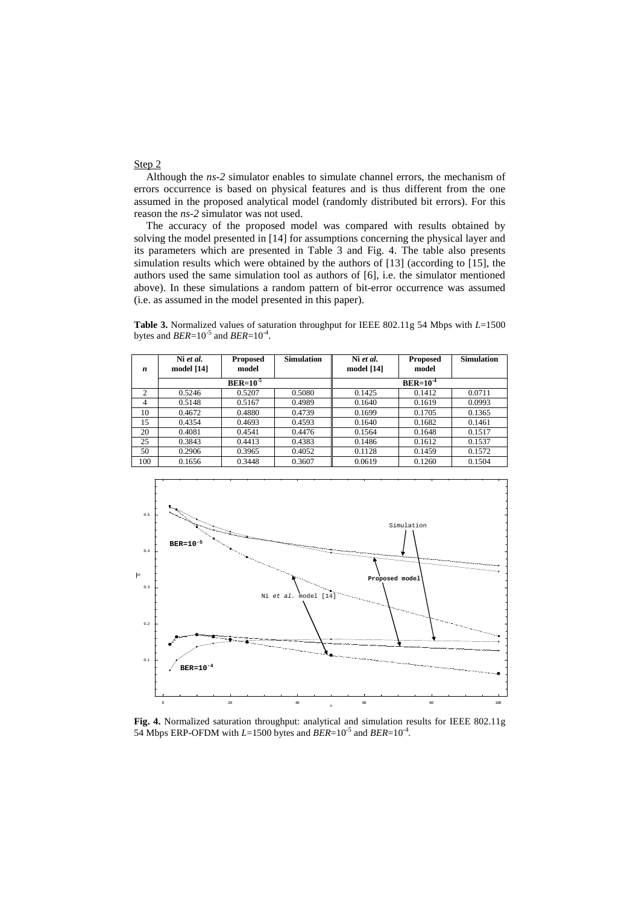#### Step 2

Although the *ns-2* simulator enables to simulate channel errors, the mechanism of errors occurrence is based on physical features and is thus different from the one assumed in the proposed analytical model (randomly distributed bit errors). For this reason the *ns-2* simulator was not used.

The accuracy of the proposed model was compared with results obtained by solving the model presented in [14] for assumptions concerning the physical layer and its parameters which are presented in Table 3 and Fig. 4. The table also presents simulation results which were obtained by the authors of [13] (according to [15], the authors used the same simulation tool as authors of [6], i.e. the simulator mentioned above). In these simulations a random pattern of bit-error occurrence was assumed (i.e. as assumed in the model presented in this paper).

**Table 3.** Normalized values of saturation throughput for IEEE 802.11g 54 Mbps with *L*=1500 bytes and  $BER=10^{-5}$  and  $BER=10^{-4}$ .

| n              | Ni et al.<br>model $[14]$ | <b>Proposed</b><br>model | <b>Simulation</b> | Ni et al.<br>model [14] | <b>Proposed</b><br>model | <b>Simulation</b> |  |
|----------------|---------------------------|--------------------------|-------------------|-------------------------|--------------------------|-------------------|--|
|                | $BER=10^{-5}$             |                          |                   | $BER=10^{-4}$           |                          |                   |  |
| $\mathfrak{2}$ | 0.5246                    | 0.5207                   | 0.5080            | 0.1425                  | 0.1412                   | 0.0711            |  |
| 4              | 0.5148                    | 0.5167                   | 0.4989            | 0.1640                  | 0.1619                   | 0.0993            |  |
| 10             | 0.4672                    | 0.4880                   | 0.4739            | 0.1699                  | 0.1705                   | 0.1365            |  |
| 15             | 0.4354                    | 0.4693                   | 0.4593            | 0.1640                  | 0.1682                   | 0.1461            |  |
| 20             | 0.4081                    | 0.4541                   | 0.4476            | 0.1564                  | 0.1648                   | 0.1517            |  |
| 25             | 0.3843                    | 0.4413                   | 0.4383            | 0.1486                  | 0.1612                   | 0.1537            |  |
| 50             | 0.2906                    | 0.3965                   | 0.4052            | 0.1128                  | 0.1459                   | 0.1572            |  |
| 100            | 0.1656                    | 0.3448                   | 0.3607            | 0.0619                  | 0.1260                   | 0.1504            |  |



**Fig. 4.** Normalized saturation throughput: analytical and simulation results for IEEE 802.11g 54 Mbps ERP-OFDM with  $L=1500$  bytes and  $BER=10^{-5}$  and  $BER=10^{-4}$ .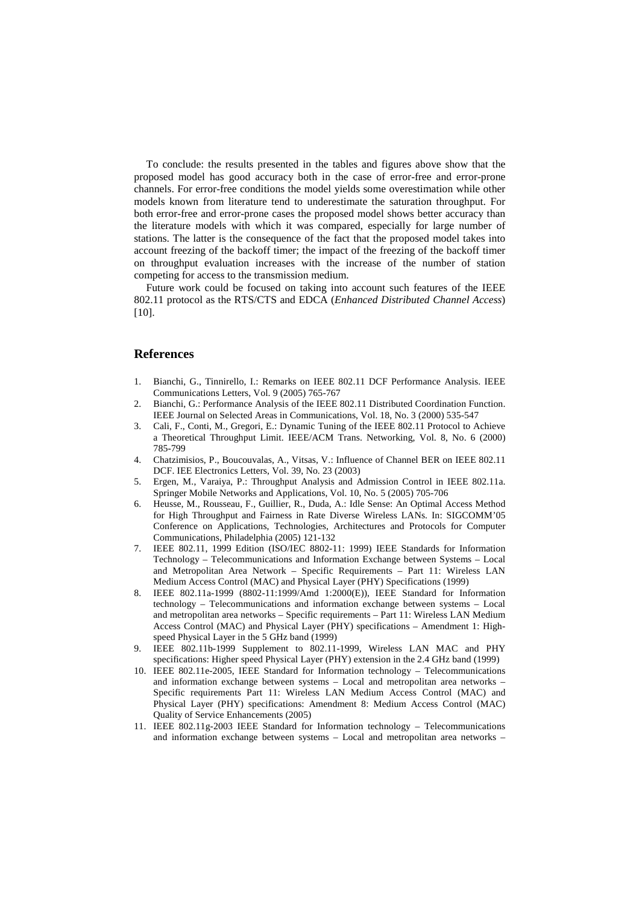To conclude: the results presented in the tables and figures above show that the proposed model has good accuracy both in the case of error-free and error-prone channels. For error-free conditions the model yields some overestimation while other models known from literature tend to underestimate the saturation throughput. For both error-free and error-prone cases the proposed model shows better accuracy than the literature models with which it was compared, especially for large number of stations. The latter is the consequence of the fact that the proposed model takes into account freezing of the backoff timer; the impact of the freezing of the backoff timer on throughput evaluation increases with the increase of the number of station competing for access to the transmission medium.

Future work could be focused on taking into account such features of the IEEE 802.11 protocol as the RTS/CTS and EDCA (*Enhanced Distributed Channel Access*) [10].

## **References**

- 1. Bianchi, G., Tinnirello, I.: Remarks on IEEE 802.11 DCF Performance Analysis. IEEE Communications Letters, Vol. 9 (2005) 765-767
- 2. Bianchi, G.: Performance Analysis of the IEEE 802.11 Distributed Coordination Function. IEEE Journal on Selected Areas in Communications, Vol. 18, No. 3 (2000) 535-547
- 3. Cali, F., Conti, M., Gregori, E.: Dynamic Tuning of the IEEE 802.11 Protocol to Achieve a Theoretical Throughput Limit. IEEE/ACM Trans. Networking, Vol. 8, No. 6 (2000) 785-799
- 4. Chatzimisios, P., Boucouvalas, A., Vitsas, V.: Influence of Channel BER on IEEE 802.11 DCF. IEE Electronics Letters, Vol. 39, No. 23 (2003)
- 5. Ergen, M., Varaiya, P.: Throughput Analysis and Admission Control in IEEE 802.11a. Springer Mobile Networks and Applications, Vol. 10, No. 5 (2005) 705-706
- 6. Heusse, M., Rousseau, F., Guillier, R., Duda, A.: Idle Sense: An Optimal Access Method for High Throughput and Fairness in Rate Diverse Wireless LANs. In: SIGCOMM'05 Conference on Applications, Technologies, Architectures and Protocols for Computer Communications, Philadelphia (2005) 121-132
- 7. IEEE 802.11, 1999 Edition (ISO/IEC 8802-11: 1999) IEEE Standards for Information Technology – Telecommunications and Information Exchange between Systems – Local and Metropolitan Area Network – Specific Requirements – Part 11: Wireless LAN Medium Access Control (MAC) and Physical Layer (PHY) Specifications (1999)
- 8. IEEE 802.11a-1999 (8802-11:1999/Amd 1:2000(E)), IEEE Standard for Information technology – Telecommunications and information exchange between systems – Local and metropolitan area networks – Specific requirements – Part 11: Wireless LAN Medium Access Control (MAC) and Physical Layer (PHY) specifications – Amendment 1: Highspeed Physical Layer in the 5 GHz band (1999)
- 9. IEEE 802.11b-1999 Supplement to 802.11-1999, Wireless LAN MAC and PHY specifications: Higher speed Physical Layer (PHY) extension in the 2.4 GHz band (1999)
- 10. IEEE 802.11e-2005, IEEE Standard for Information technology Telecommunications and information exchange between systems – Local and metropolitan area networks – Specific requirements Part 11: Wireless LAN Medium Access Control (MAC) and Physical Layer (PHY) specifications: Amendment 8: Medium Access Control (MAC) Quality of Service Enhancements (2005)
- 11. IEEE 802.11g-2003 IEEE Standard for Information technology Telecommunications and information exchange between systems – Local and metropolitan area networks –